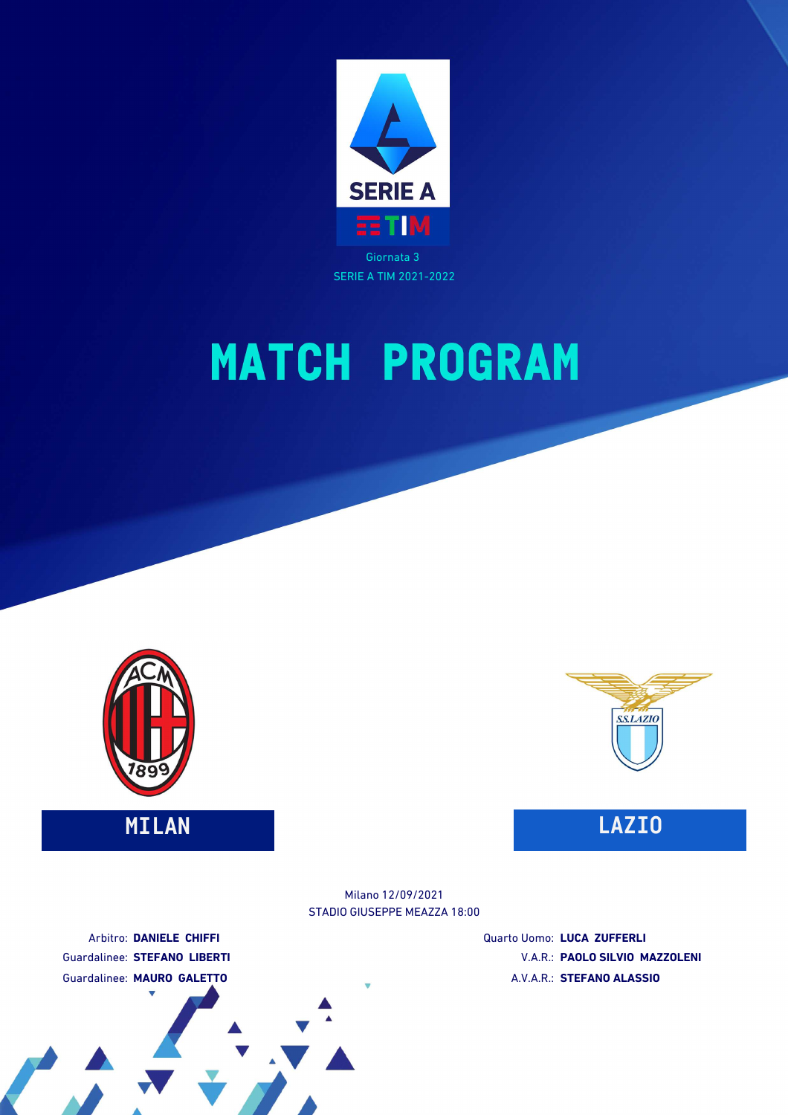

SERIE A TIM 2021-2022

# **MATCH PROGRAM**





STADIO GIUSEPPE MEAZZA 18:00 Milano 12/09/2021

Arbitro: **DANIELE CHIFFI** Guardalinee: **STEFANO LIBERTI** Guardalinee: **MAURO GALETTO**

Quarto Uomo: **LUCA ZUFFERLI** V.A.R.: **PAOLO SILVIO MAZZOLENI** A.V.A.R.: **STEFANO ALASSIO**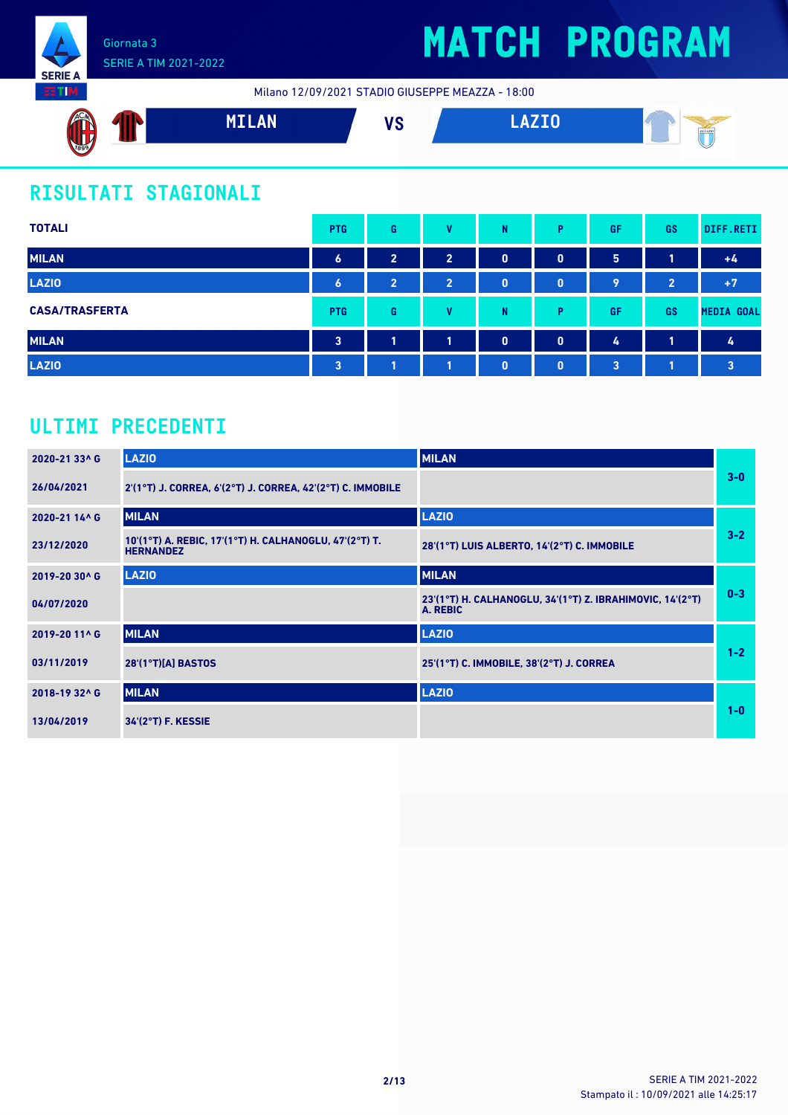

### SERIE A TIM 2021-2022

## **MATCH PROGRAM**

Milano 12/09/2021 STADIO GIUSEPPE MEAZZA - 18:00



### **RISULTATI STAGIONALI**

| <b>TOTALI</b>         | <b>PTG</b>       | G              | v              | N            | P            | <b>GF</b> | <b>GS</b>      | DIFF.RETI               |
|-----------------------|------------------|----------------|----------------|--------------|--------------|-----------|----------------|-------------------------|
| <b>MILAN</b>          | $\boldsymbol{6}$ | $\overline{2}$ | $\overline{2}$ | $\bf{0}$     | $\mathbf{0}$ | 5         | 1              | $+4$                    |
| <b>LAZIO</b>          | $\boldsymbol{6}$ | $\overline{2}$ | $\overline{2}$ | $\bf{0}$     | $\mathbf{0}$ | 9         | $\overline{2}$ | $+7$                    |
| <b>CASA/TRASFERTA</b> | <b>PTG</b>       | G              | v              | N            | Þ            | GF        | <b>GS</b>      | <b>MEDIA GOAL</b>       |
| <b>MILAN</b>          | $\mathbf{3}$     | 1              | 4              | $\mathbf{0}$ | $\mathbf{0}$ | 4         | 1              | 4                       |
| <b>LAZIO</b>          | $\overline{3}$   |                |                | $\bf{0}$     | $\mathbf{0}$ | 3         |                | $\overline{\mathbf{3}}$ |

### **ULTIMI PRECEDENTI**

| 2020-21 33^ G | <b>LAZIO</b>                                                               | <b>MILAN</b>                                                          |         |
|---------------|----------------------------------------------------------------------------|-----------------------------------------------------------------------|---------|
| 26/04/2021    | 2'(1°T) J. CORREA, 6'(2°T) J. CORREA, 42'(2°T) C. IMMOBILE                 |                                                                       | $3-0$   |
| 2020-21 14^ G | <b>MILAN</b>                                                               | <b>LAZIO</b>                                                          |         |
| 23/12/2020    | 10'(1°T) A. REBIC, 17'(1°T) H. CALHANOGLU, 47'(2°T) T.<br><b>HERNANDEZ</b> | 28'(1°T) LUIS ALBERTO, 14'(2°T) C. IMMOBILE                           | $3 - 2$ |
| 2019-20 30^ G | <b>LAZIO</b>                                                               | <b>MILAN</b>                                                          |         |
| 04/07/2020    |                                                                            | 23'(1°T) H. CALHANOGLU, 34'(1°T) Z. IBRAHIMOVIC, 14'(2°T)<br>A. REBIC | $0 - 3$ |
| 2019-20 11^ G | <b>MILAN</b>                                                               | <b>LAZIO</b>                                                          |         |
| 03/11/2019    | 28'(1°T)[A] BASTOS                                                         | 25'(1°T) C. IMMOBILE, 38'(2°T) J. CORREA                              | $1 - 2$ |
| 2018-19 32^ G | <b>MILAN</b>                                                               | <b>LAZIO</b>                                                          |         |
| 13/04/2019    | 34'(2°T) F. KESSIE                                                         |                                                                       | $1 - 0$ |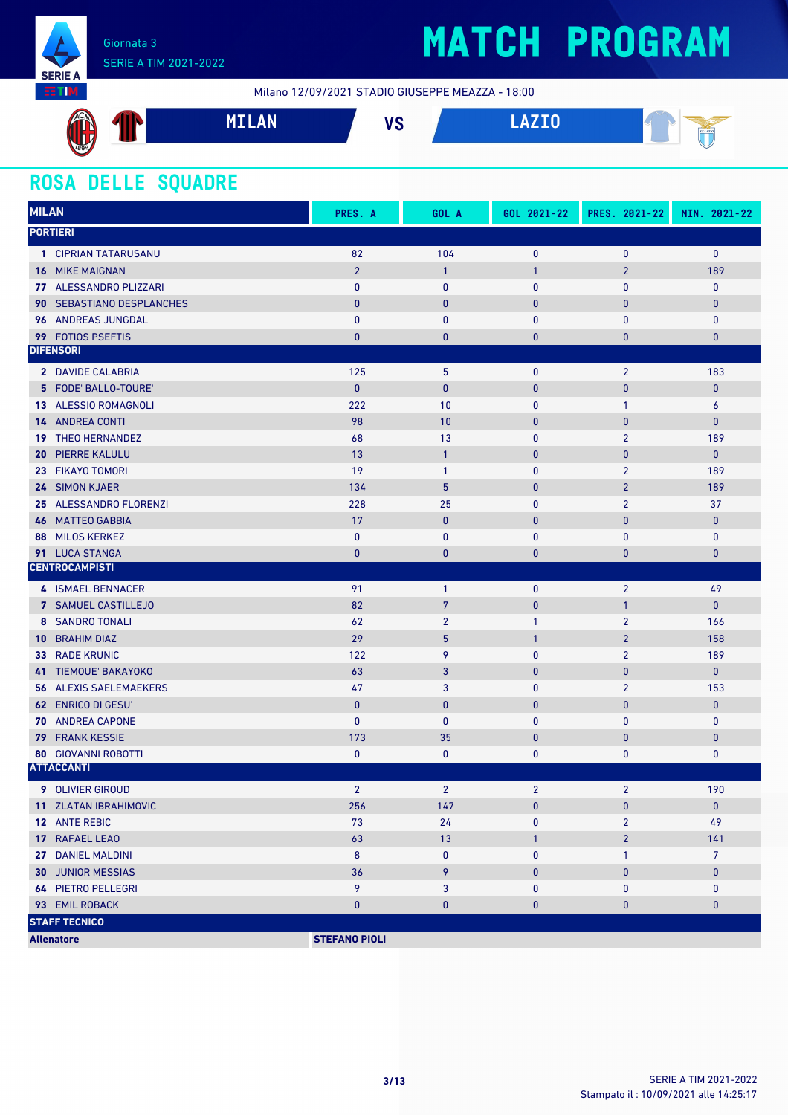

## **MATCH PROGRAM**

Milano 12/09/2021 STADIO GIUSEPPE MEAZZA - 18:00



### **ROSA DELLE SQUADRE**

| <b>MILAN</b>             |                               | PRES. A              | GOL A           | GOL 2021-22    | PRES. 2021-22  | MIN. 2021-22   |
|--------------------------|-------------------------------|----------------------|-----------------|----------------|----------------|----------------|
| <b>PORTIERI</b>          |                               |                      |                 |                |                |                |
|                          | 1 CIPRIAN TATARUSANU          | 82                   | 104             | $\mathbf 0$    | $\mathbf 0$    | $\mathbf{0}$   |
| <b>16 MIKE MAIGNAN</b>   |                               | $\overline{2}$       | $\mathbf{1}$    | $\mathbf{1}$   | $\overline{2}$ | 189            |
|                          | 77 ALESSANDRO PLIZZARI        | $\pmb{0}$            | $\pmb{0}$       | $\bf{0}$       | $\mathbf{0}$   | $\mathbf 0$    |
| 90                       | <b>SEBASTIANO DESPLANCHES</b> | $\mathbf{0}$         | $\bf{0}$        | 0              | $\mathbf{0}$   | $\mathbf{0}$   |
|                          | 96 ANDREAS JUNGDAL            | $\mathbf{0}$         | $\mathbf{0}$    | $\pmb{0}$      | $\mathbf{0}$   | $\mathbf 0$    |
| 99 FOTIOS PSEFTIS        |                               | $\bf{0}$             | $\bf{0}$        | 0              | 0              | $\pmb{0}$      |
| <b>DIFENSORI</b>         |                               |                      |                 |                |                |                |
|                          | 2 DAVIDE CALABRIA             | 125                  | 5               | $\mathbf 0$    | $\overline{2}$ | 183            |
|                          | 5 FODE' BALLO-TOURE'          | $\pmb{0}$            | $\mathbf{0}$    | $\pmb{0}$      | $\pmb{0}$      | $\pmb{0}$      |
|                          | 13 ALESSIO ROMAGNOLI          | 222                  | 10              | $\bf{0}$       | $\mathbf{1}$   | 6              |
| <b>14 ANDREA CONTI</b>   |                               | 98                   | 10              | $\mathbf 0$    | $\mathbf{0}$   | $\pmb{0}$      |
| 19                       | <b>THEO HERNANDEZ</b>         | 68                   | 13              | $\bf{0}$       | $\overline{2}$ | 189            |
| 20                       | <b>PIERRE KALULU</b>          | 13                   | $\mathbf{1}$    | 0              | $\mathbf{0}$   | $\mathbf{0}$   |
| 23                       | <b>FIKAYO TOMORI</b>          | 19                   | $\mathbf{1}$    | $\pmb{0}$      | $\overline{2}$ | 189            |
| 24 SIMON KJAER           |                               | 134                  | 5               | $\mathbf 0$    | $\overline{2}$ | 189            |
|                          | 25 ALESSANDRO FLORENZI        | 228                  | 25              | 0              | $\overline{2}$ | 37             |
| 46                       | <b>MATTEO GABBIA</b>          | 17                   | $\pmb{0}$       | $\bf{0}$       | $\mathbf{0}$   | $\mathbf 0$    |
| 88                       | <b>MILOS KERKEZ</b>           | $\pmb{0}$            | $\bf{0}$        | 0              | $\pmb{0}$      | $\pmb{0}$      |
| 91 LUCA STANGA           |                               | $\bf{0}$             | $\bf{0}$        | 0              | 0              | $\pmb{0}$      |
| <b>CENTROCAMPISTI</b>    |                               |                      |                 |                |                |                |
|                          | 4 ISMAEL BENNACER             | 91                   | $\mathbf{1}$    | $\mathbf 0$    | $\overline{2}$ | 49             |
|                          | 7 SAMUEL CASTILLEJO           | 82                   | $7\phantom{.0}$ | 0              | $\mathbf{1}$   | $\mathbf{0}$   |
|                          | 8 SANDRO TONALI               | 62                   | $\overline{2}$  | $\mathbf{1}$   | $\overline{2}$ | 166            |
| <b>10 BRAHIM DIAZ</b>    |                               | 29                   | 5               | 1              | $\overline{2}$ | 158            |
| <b>33 RADE KRUNIC</b>    |                               | 122                  | 9               | $\bf{0}$       | $\overline{2}$ | 189            |
| 41                       | <b>TIEMOUE' BAKAYOKO</b>      | 63                   | 3               | $\bf{0}$       | $\mathbf{0}$   | $\mathbf{0}$   |
| 56                       | <b>ALEXIS SAELEMAEKERS</b>    | 47                   | 3               | $\mathbf{0}$   | $\overline{2}$ | 153            |
| <b>62 ENRICO DI GESU</b> |                               | $\mathbf{0}$         | $\bf{0}$        | $\bf{0}$       | $\mathbf{0}$   | $\bf{0}$       |
| 70                       | <b>ANDREA CAPONE</b>          | $\mathbf{0}$         | 0               | $\mathbf{0}$   | $\bf{0}$       | 0              |
| 79                       | <b>FRANK KESSIE</b>           | 173                  | 35              | 0              | $\pmb{0}$      | $\pmb{0}$      |
|                          | <b>80 GIOVANNI ROBOTTI</b>    | 0                    | 0               | 0              | $\bf{0}$       | 0              |
| <b>ATTACCANTI</b>        |                               |                      |                 |                |                |                |
| <b>9</b> OLIVIER GIROUD  |                               | $\overline{2}$       | $\overline{2}$  | $\overline{2}$ | $\overline{2}$ | 190            |
|                          | 11 ZLATAN IBRAHIMOVIC         | 256                  | 147             | 0              | $\pmb{0}$      | $\bf{0}$       |
| 12 ANTE REBIC            |                               | 73                   | 24              | 0              | $\overline{2}$ | 49             |
| 17 RAFAEL LEAO           |                               | 63                   | 13              | 1              | $\overline{2}$ | 141            |
| 27 DANIEL MALDINI        |                               | 8                    | 0               | 0              | 1              | $\overline{7}$ |
| <b>30 JUNIOR MESSIAS</b> |                               | 36                   | 9               | 0              | $\pmb{0}$      | $\pmb{0}$      |
|                          | <b>64 PIETRO PELLEGRI</b>     | 9                    | 3               | 0              | 0              | 0              |
| 93 EMIL ROBACK           |                               | $\pmb{0}$            | $\pmb{0}$       | 0              | 0              | $\pmb{0}$      |
| <b>STAFF TECNICO</b>     |                               |                      |                 |                |                |                |
| <b>Allenatore</b>        |                               | <b>STEFANO PIOLI</b> |                 |                |                |                |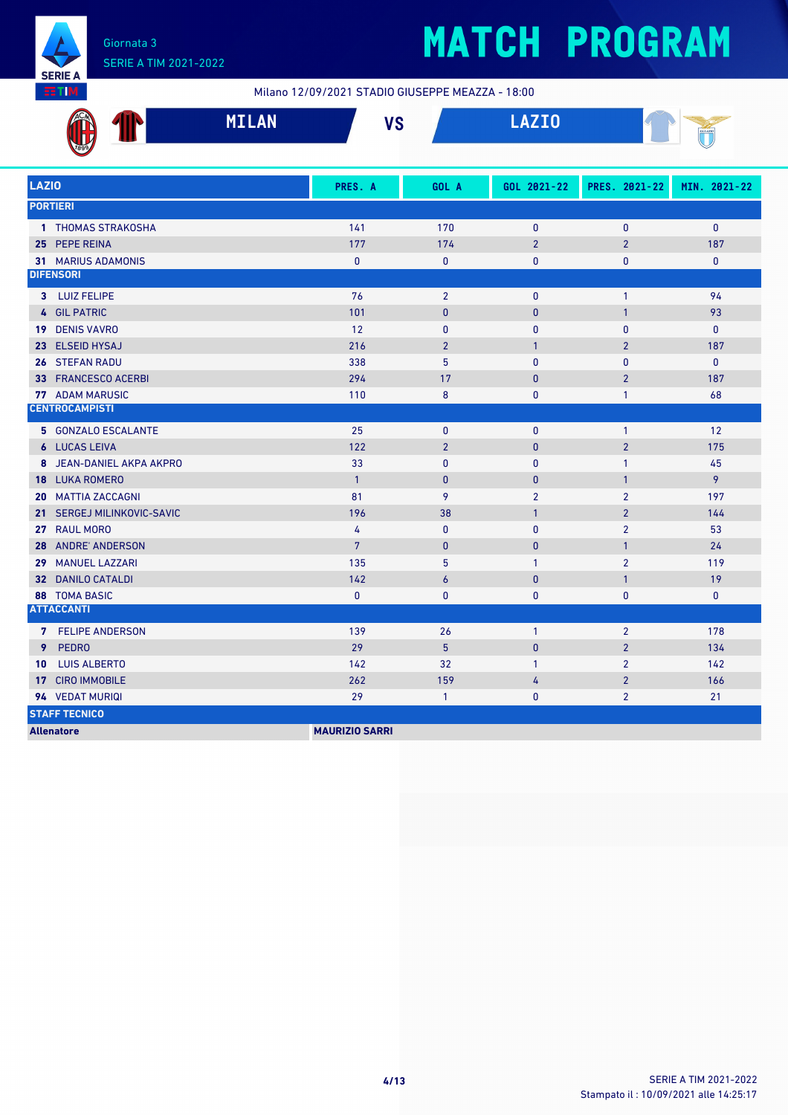

Milano 12/09/2021 STADIO GIUSEPPE MEAZZA - 18:00

| ACM<br>M<br>ш    | Ш | MILAN | 110<br>œ | $\mathbf{A} = \mathbf{A} + \mathbf{A}$ |  |
|------------------|---|-------|----------|----------------------------------------|--|
| $\frac{1}{1899}$ |   |       |          |                                        |  |

| <b>LAZIO</b>                               | PRES. A               | GOL A          | GOL 2021-22    | PRES. 2021-22  | MIN. 2021-22 |
|--------------------------------------------|-----------------------|----------------|----------------|----------------|--------------|
| <b>PORTIERI</b>                            |                       |                |                |                |              |
| 1 THOMAS STRAKOSHA                         | 141                   | 170            | $\mathbf{0}$   | $\mathbf{0}$   | $\mathbf{0}$ |
| 25 PEPE REINA                              | 177                   | 174            | $\overline{2}$ | $\overline{2}$ | 187          |
| <b>31 MARIUS ADAMONIS</b>                  | $\mathbf{0}$          | $\mathbf{0}$   | $\mathbf{0}$   | 0              | 0            |
| <b>DIFENSORI</b>                           |                       |                |                |                |              |
| 3 LUIZ FELIPE                              | 76                    | $\overline{2}$ | $\mathbf 0$    | $\mathbf{1}$   | 94           |
| 4 GIL PATRIC                               | 101                   | $\mathbf{0}$   | $\mathbf{0}$   | $\mathbf{1}$   | 93           |
| 19 DENIS VAVRO                             | 12                    | $\mathbf{0}$   | $\mathbf{0}$   | $\mathbf{0}$   | 0            |
| 23 ELSEID HYSAJ                            | 216                   | $\overline{2}$ | $\mathbf{1}$   | $\overline{2}$ | 187          |
| 26 STEFAN RADU                             | 338                   | 5              | $\mathbf{0}$   | $\mathbf{0}$   | $\mathbf{0}$ |
| 33 FRANCESCO ACERBI                        | 294                   | 17             | $\mathbf{0}$   | $\overline{2}$ | 187          |
| <b>77 ADAM MARUSIC</b>                     | 110                   | 8              | $\mathbf 0$    | $\mathbf{1}$   | 68           |
| <b>CENTROCAMPISTI</b>                      |                       |                |                |                |              |
| 5 GONZALO ESCALANTE                        | 25                    | $\mathbf{0}$   | $\mathbf{0}$   | $\mathbf{1}$   | 12           |
| <b>6 LUCAS LEIVA</b>                       | 122                   | $\overline{2}$ | $\mathbf{0}$   | $\overline{2}$ | 175          |
| 8 JEAN-DANIEL AKPA AKPRO                   | 33                    | $\mathbf{0}$   | $\mathbf{0}$   | $\mathbf{1}$   | 45           |
| 18 LUKA ROMERO                             | $\overline{1}$        | $\mathbf{0}$   | $\mathbf{0}$   | $\mathbf{1}$   | 9            |
| <b>20 MATTIA ZACCAGNI</b>                  | 81                    | 9              | $\overline{2}$ | $\overline{2}$ | 197          |
| SERGEJ MILINKOVIC-SAVIC<br>21 <sup>1</sup> | 196                   | 38             | $\overline{1}$ | $\overline{2}$ | 144          |
| 27 RAUL MORO                               | 4                     | $\mathbf{0}$   | $\mathbf{0}$   | $\overline{2}$ | 53           |
| <b>ANDRE' ANDERSON</b><br>28               | $7\phantom{.}$        | $\mathbf{0}$   | $\mathbf{0}$   | $\mathbf{1}$   | 24           |
| <b>MANUEL LAZZARI</b><br>29                | 135                   | 5              | $\mathbf{1}$   | $\overline{2}$ | 119          |
| <b>32 DANILO CATALDI</b>                   | 142                   | 6              | $\mathbf{0}$   | $\mathbf{1}$   | 19           |
| <b>88 TOMA BASIC</b>                       | $\mathbf{0}$          | $\mathbf{0}$   | $\mathbf{0}$   | $\pmb{0}$      | 0            |
| <b>ATTACCANTI</b>                          |                       |                |                |                |              |
| 7 FELIPE ANDERSON                          | 139                   | 26             | $\mathbf{1}$   | $\overline{2}$ | 178          |
| <b>PEDRO</b><br>9                          | 29                    | 5              | $\mathbf{0}$   | $\overline{2}$ | 134          |
| <b>LUIS ALBERTO</b><br>10                  | 142                   | 32             | $\mathbf{1}$   | $\overline{2}$ | 142          |
| 17 CIRO IMMOBILE                           | 262                   | 159            | 4              | $\overline{2}$ | 166          |
| 94 VEDAT MURIQI                            | 29                    | $\mathbf{1}$   | $\mathbf{0}$   | $\overline{2}$ | 21           |
| <b>STAFF TECNICO</b>                       |                       |                |                |                |              |
| <b>Allenatore</b>                          | <b>MAURIZIO SARRI</b> |                |                |                |              |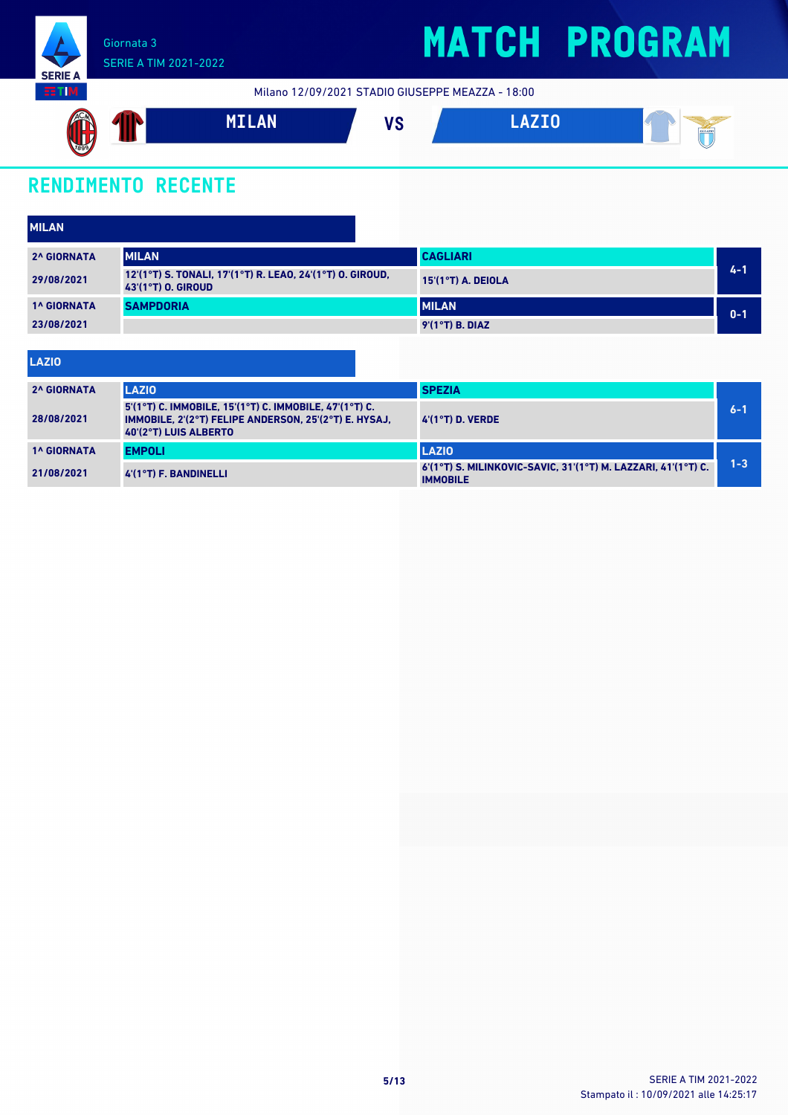

Milano 12/09/2021 STADIO GIUSEPPE MEAZZA - 18:00



### **RENDIMENTO RECENTE**

| <b>MILAN</b>       |                                                                                 |                      |         |
|--------------------|---------------------------------------------------------------------------------|----------------------|---------|
| <b>2^ GIORNATA</b> | <b>MILAN</b>                                                                    | <b>CAGLIARI</b>      |         |
| 29/08/2021         | 12'(1°T) S. TONALI, 17'(1°T) R. LEAO, 24'(1°T) O. GIROUD,<br>43'(1°T) O. GIROUD | $15'(1°T)$ A. DEIOLA | 4-1     |
| <b>1^ GIORNATA</b> | <b>SAMPDORIA</b>                                                                | <b>IMILAN</b>        | $0 - 1$ |
| 23/08/2021         |                                                                                 | $9'(1°T)$ B. DIAZ    |         |

| LAZIO              |                                                                                                                                          |                                                                                  |         |
|--------------------|------------------------------------------------------------------------------------------------------------------------------------------|----------------------------------------------------------------------------------|---------|
| <b>2^ GIORNATA</b> | <b>LAZIO</b>                                                                                                                             | <b>SPEZIA</b>                                                                    |         |
| 28/08/2021         | 5'(1°T) C. IMMOBILE, 15'(1°T) C. IMMOBILE, 47'(1°T) C.<br>IMMOBILE, 2'(2°T) FELIPE ANDERSON, 25'(2°T) E. HYSAJ.<br>40'(2°T) LUIS ALBERTO | $4'(1°T)$ D. VERDE                                                               | $6 - 1$ |
| <b>1^ GIORNATA</b> | <b>EMPOLI</b>                                                                                                                            | <b>LAZIO</b>                                                                     |         |
| 21/08/2021         | $4'(1°T)$ F. BANDINELLI                                                                                                                  | 6'(1°T) S. MILINKOVIC-SAVIC. 31'(1°T) M. LAZZARI. 41'(1°T) C.<br><b>IMMOBILE</b> | $1 - 3$ |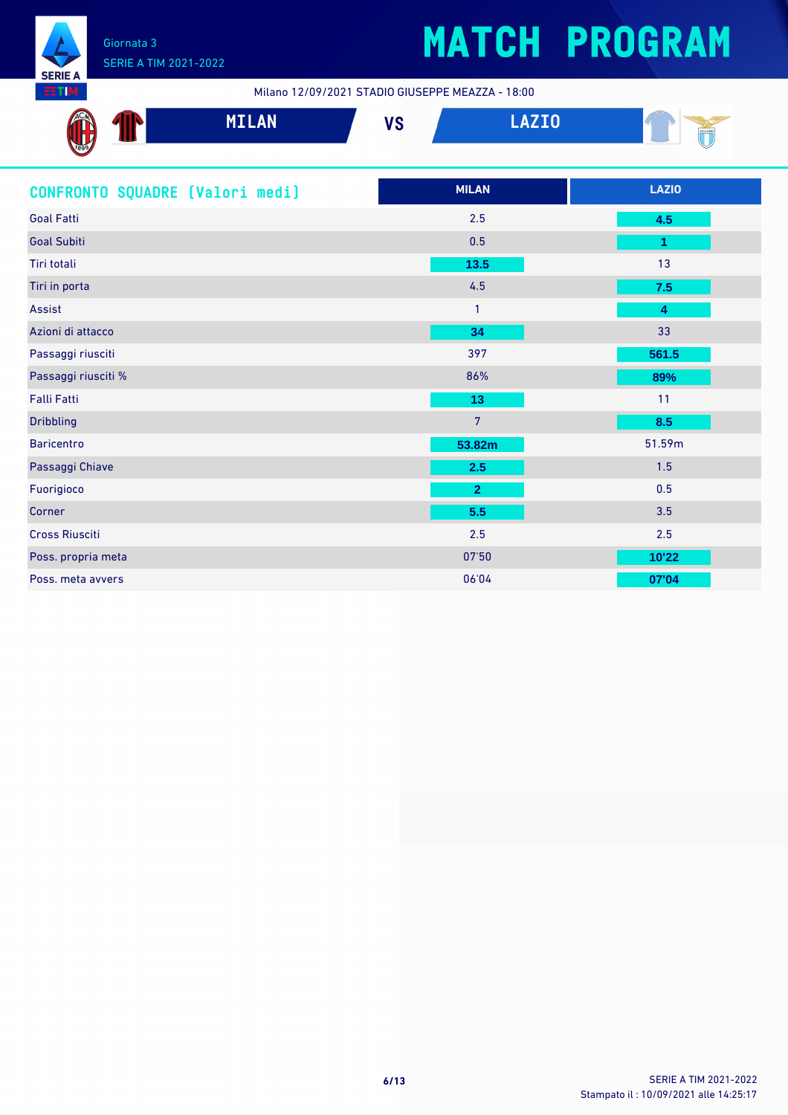

## **MATCH PROGRAM**

Milano 12/09/2021 STADIO GIUSEPPE MEAZZA - 18:00

| ACM  | <b>MTI AN</b>                         | <b>110</b> | マテヘ   | $\sim$ |
|------|---------------------------------------|------------|-------|--------|
| w    | $\mathbf{H}$ . The state $\mathbf{H}$ | ט ו        | _____ | SLL    |
| 7899 |                                       |            |       |        |

| CONFRONTO SQUADRE [Valori medi] | <b>MILAN</b>   | <b>LAZIO</b> |
|---------------------------------|----------------|--------------|
| <b>Goal Fatti</b>               | 2.5            | 4.5          |
| <b>Goal Subiti</b>              | 0.5            | 1            |
| Tiri totali                     | $13.5$         | 13           |
| Tiri in porta                   | 4.5            | 7.5          |
| Assist                          | $\mathbf{1}$   | 4            |
| Azioni di attacco               | 34             | 33           |
| Passaggi riusciti               | 397            | 561.5        |
| Passaggi riusciti %             | 86%            | 89%          |
| <b>Falli Fatti</b>              | 13             | 11           |
| <b>Dribbling</b>                | $\overline{7}$ | 8.5          |
| <b>Baricentro</b>               | 53.82m         | 51.59m       |
| Passaggi Chiave                 | 2.5            | 1.5          |
| Fuorigioco                      | $\overline{2}$ | 0.5          |
| Corner                          | 5.5            | 3.5          |
| <b>Cross Riusciti</b>           | 2.5            | 2.5          |
| Poss. propria meta              | 07'50          | 10'22        |
| Poss. meta avvers               | 06'04          | 07'04        |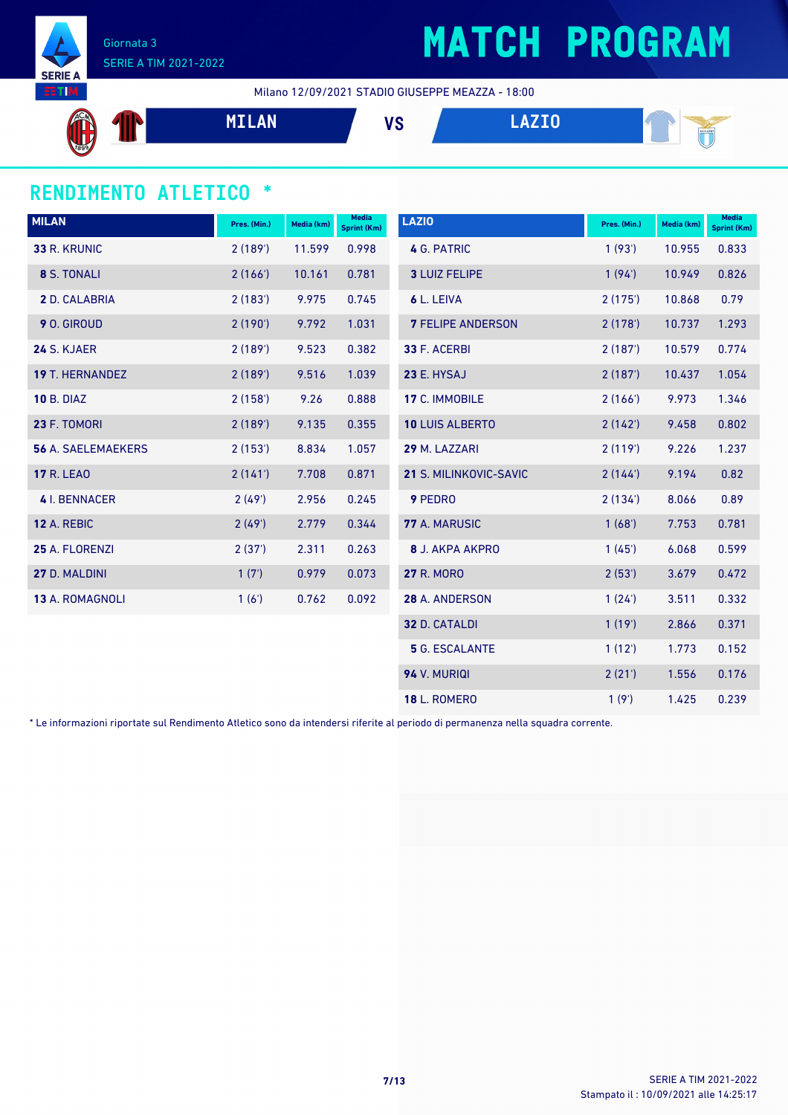

# **MATCH PROGRAM**

Milano 12/09/2021 STADIO GIUSEPPE MEAZZA - 18:00



#### **RENDIMENTO ATLETICO \***

| <b>MILAN</b>              | Pres. (Min.) | Media (km) | <b>Media</b><br><b>Sprint (Km)</b> | <b>LAZIO</b>             | Pres. (Min.) | Media (km) | <b>Media</b><br>Sprint (Km) |
|---------------------------|--------------|------------|------------------------------------|--------------------------|--------------|------------|-----------------------------|
| 33 R. KRUNIC              | 2(189)       | 11.599     | 0.998                              | 4 G. PATRIC              | 1(93)        | 10.955     | 0.833                       |
| 8 S. TONALI               | 2(166)       | 10.161     | 0.781                              | <b>3 LUIZ FELIPE</b>     | 1(94)        | 10.949     | 0.826                       |
| 2 D. CALABRIA             | 2(183)       | 9.975      | 0.745                              | 6 L. LEIVA               | 2(175)       | 10.868     | 0.79                        |
| 9 O. GIROUD               | 2(190)       | 9.792      | 1.031                              | <b>7 FELIPE ANDERSON</b> | 2(178)       | 10.737     | 1.293                       |
| 24 S. KJAER               | 2(189)       | 9.523      | 0.382                              | 33 F. ACERBI             | 2(187)       | 10.579     | 0.774                       |
| <b>19 T. HERNANDEZ</b>    | 2(189)       | 9.516      | 1.039                              | 23 E. HYSAJ              | 2(187)       | 10.437     | 1.054                       |
| <b>10 B. DIAZ</b>         | 2(158)       | 9.26       | 0.888                              | 17 C. IMMOBILE           | 2(166)       | 9.973      | 1.346                       |
| 23 F. TOMORI              | 2(189)       | 9.135      | 0.355                              | <b>10 LUIS ALBERTO</b>   | 2(142)       | 9.458      | 0.802                       |
| <b>56 A. SAELEMAEKERS</b> | 2(153)       | 8.834      | 1.057                              | 29 M. LAZZARI            | 2(119)       | 9.226      | 1.237                       |
| <b>17 R. LEAO</b>         | 2(141)       | 7.708      | 0.871                              | 21 S. MILINKOVIC-SAVIC   | 2(144)       | 9.194      | 0.82                        |
| 4 I. BENNACER             | 2(49)        | 2.956      | 0.245                              | 9 PEDRO                  | 2(134)       | 8.066      | 0.89                        |
| 12 A. REBIC               | 2(49)        | 2.779      | 0.344                              | 77 A. MARUSIC            | 1(68)        | 7.753      | 0.781                       |
| 25 A. FLORENZI            | 2(37)        | 2.311      | 0.263                              | <b>8 J. AKPA AKPRO</b>   | 1(45)        | 6.068      | 0.599                       |
| 27 D. MALDINI             | 1(7)         | 0.979      | 0.073                              | <b>27 R. MORO</b>        | 2(53')       | 3.679      | 0.472                       |
| <b>13 A. ROMAGNOLI</b>    | 1(6')        | 0.762      | 0.092                              | 28 A. ANDERSON           | 1(24)        | 3.511      | 0.332                       |
|                           |              |            |                                    | 32 D. CATALDI            | 1(19)        | 2.866      | 0.371                       |
|                           |              |            |                                    | <b>5</b> G. ESCALANTE    | 1(12')       | 1.773      | 0.152                       |
|                           |              |            |                                    | 94 V. MURIQI             | 2(21')       | 1.556      | 0.176                       |
|                           |              |            |                                    | <b>18 L. ROMERO</b>      | 1(9')        | 1.425      | 0.239                       |

\* Le informazioni riportate sul Rendimento Atletico sono da intendersi riferite al periodo di permanenza nella squadra corrente.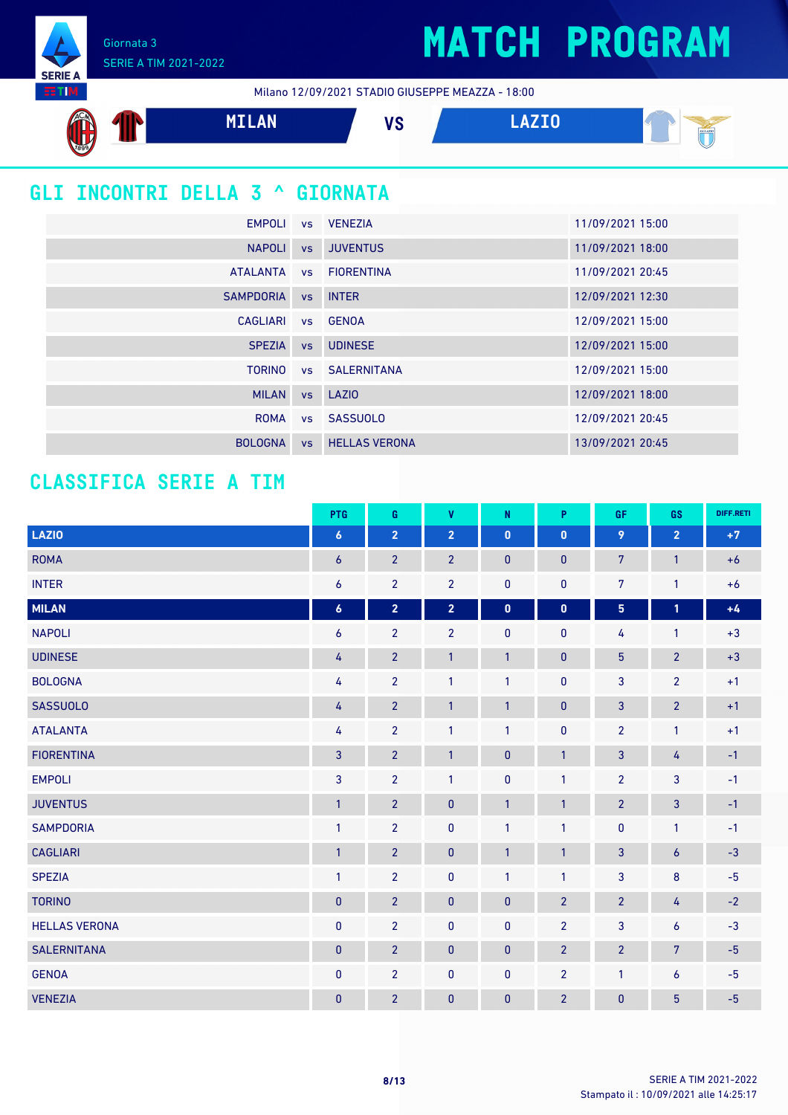Giornata 3 SERIE A TIM 2021-2022

**SERIE A** EETIM.

Milano 12/09/2021 STADIO GIUSEPPE MEAZZA - 18:00



### **GLI INCONTRI DELLA 3 ^ GIORNATA**

|                    | EMPOLI vs VENEZIA       | 11/09/2021 15:00 |
|--------------------|-------------------------|------------------|
|                    | NAPOLI vs JUVENTUS      | 11/09/2021 18:00 |
|                    | ATALANTA vs FIORENTINA  | 11/09/2021 20:45 |
| SAMPDORIA VS INTER |                         | 12/09/2021 12:30 |
| CAGLIARI VS GENOA  |                         | 12/09/2021 15:00 |
|                    | SPEZIA vs UDINESE       | 12/09/2021 15:00 |
|                    | TORINO vs SALERNITANA   | 12/09/2021 15:00 |
| MILAN vs LAZIO     |                         | 12/09/2021 18:00 |
|                    | ROMA vs SASSUOLO        | 12/09/2021 20:45 |
| <b>BOLOGNA</b>     | <b>vs</b> HELLAS VERONA | 13/09/2021 20:45 |
|                    |                         |                  |

#### **CLASSIFICA SERIE A TIM**

|                      | PTG              | G              | $\mathbf{V}$   | N            | P              | <b>GF</b>       | GS               | DIFF.RETI |
|----------------------|------------------|----------------|----------------|--------------|----------------|-----------------|------------------|-----------|
| LAZIO                | $\boldsymbol{6}$ | $\overline{2}$ | $\overline{2}$ | $\pmb{0}$    | $\mathbf{0}$   | 9               | $\overline{2}$   | $+7$      |
| <b>ROMA</b>          | $\overline{6}$   | $\overline{2}$ | $\overline{2}$ | $\mathbf{0}$ | $\mathbf{0}$   | $7\overline{ }$ | $\mathbf{1}$     | $+6$      |
| <b>INTER</b>         | $\boldsymbol{6}$ | $\overline{2}$ | $\overline{2}$ | $\pmb{0}$    | $\pmb{0}$      | $\overline{7}$  | $\mathbf{1}$     | $+6$      |
| <b>MILAN</b>         | $\boldsymbol{6}$ | $\overline{2}$ | $\overline{2}$ | $\pmb{0}$    | $\pmb{0}$      | 5               | $\mathbf{1}$     | $+4$      |
| <b>NAPOLI</b>        | 6                | $\overline{2}$ | $\overline{2}$ | 0            | $\mathbf 0$    | 4               | 1                | $+3$      |
| <b>UDINESE</b>       | 4                | $\overline{2}$ | $\mathbf{1}$   | $\mathbf{1}$ | $\pmb{0}$      | $5\phantom{.0}$ | $\overline{2}$   | $+3$      |
| <b>BOLOGNA</b>       | 4                | $\overline{2}$ | $\mathbf{1}$   | $\mathbf{1}$ | $\pmb{0}$      | 3               | $\overline{2}$   | $+1$      |
| <b>SASSUOLO</b>      | 4                | $\overline{2}$ | $\mathbf{1}$   | 1            | $\pmb{0}$      | 3               | $\overline{2}$   | $+1$      |
| <b>ATALANTA</b>      | 4                | $\overline{2}$ | $\mathbf{1}$   | 1            | $\mathbf{0}$   | $\overline{2}$  | $\mathbf{1}$     | $+1$      |
| <b>FIORENTINA</b>    | $\overline{3}$   | $\overline{2}$ | $\mathbf{1}$   | $\pmb{0}$    | $\overline{1}$ | 3               | $\overline{4}$   | $-1$      |
| <b>EMPOLI</b>        | $\overline{3}$   | $\overline{2}$ | $\mathbf{1}$   | $\pmb{0}$    | $\mathbf{1}$   | $\overline{2}$  | $\overline{3}$   | $-1$      |
| <b>JUVENTUS</b>      | $\mathbf{1}$     | $\overline{2}$ | $\pmb{0}$      | $\mathbf{1}$ | $\overline{1}$ | $\overline{2}$  | $\mathbf{3}$     | $-1$      |
| <b>SAMPDORIA</b>     | $\overline{1}$   | $\overline{2}$ | $\pmb{0}$      | $\mathbf{1}$ | $\mathbf{1}$   | 0               | $\mathbf{1}$     | $-1$      |
| <b>CAGLIARI</b>      | $\mathbf{1}$     | $\overline{2}$ | $\mathbf{0}$   | 1            | $\mathbf{1}$   | 3               | $\boldsymbol{6}$ | $-3$      |
| <b>SPEZIA</b>        | $\overline{1}$   | $\overline{2}$ | $\pmb{0}$      | $\mathbf{1}$ | $\mathbf{1}$   | 3               | $\bf 8$          | $-5$      |
| <b>TORINO</b>        | $\mathbf{0}$     | $\overline{2}$ | $\pmb{0}$      | 0            | $\overline{2}$ | $\overline{2}$  | 4                | $-2$      |
| <b>HELLAS VERONA</b> | $\pmb{0}$        | $\overline{2}$ | $\pmb{0}$      | $\pmb{0}$    | $\overline{2}$ | 3               | 6                | $-3$      |
| <b>SALERNITANA</b>   | $\pmb{0}$        | $\overline{2}$ | $\pmb{0}$      | 0            | $\overline{2}$ | $\overline{2}$  | $\overline{7}$   | $-5$      |
| <b>GENOA</b>         | $\pmb{0}$        | $\overline{2}$ | $\mathbf{0}$   | 0            | $\overline{2}$ | 1               | 6                | $-5$      |
| <b>VENEZIA</b>       | $\pmb{0}$        | $\overline{2}$ | $\pmb{0}$      | 0            | $\overline{2}$ | $\overline{0}$  | $\overline{5}$   | $-5$      |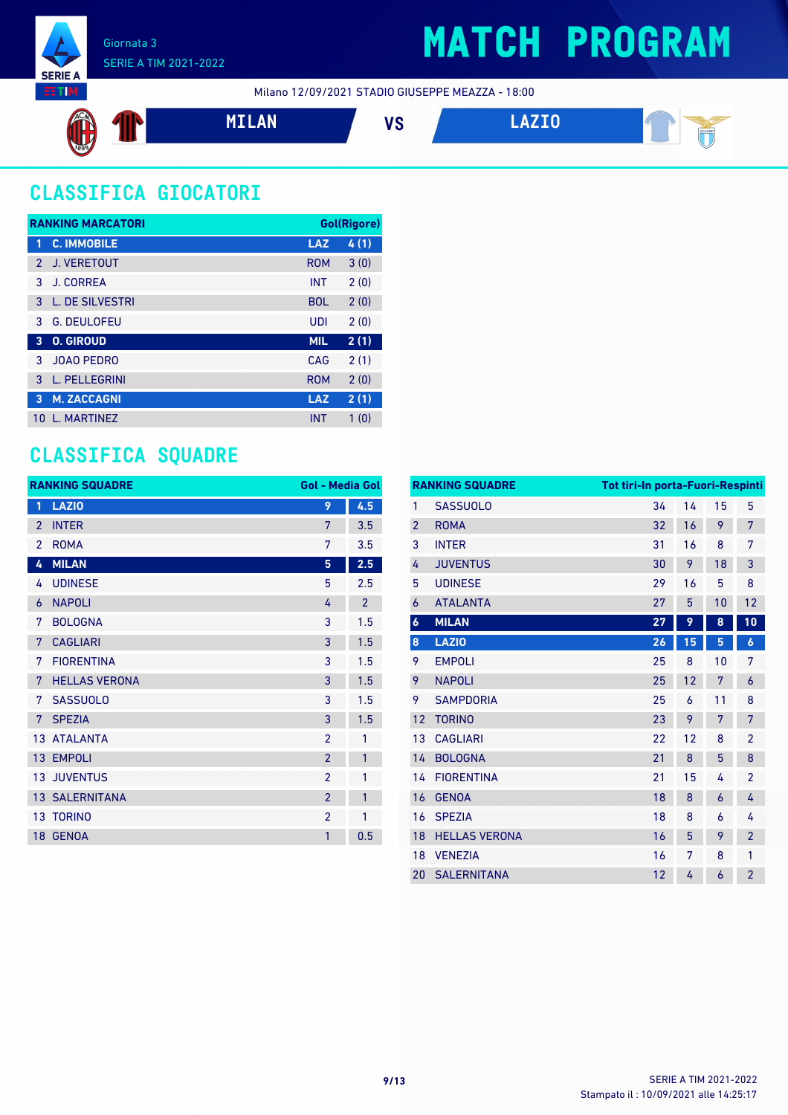

### SERIE A TIM 2021-2022

### **MATCH PROGRAM**

Milano 12/09/2021 STADIO GIUSEPPE MEAZZA - 18:00



### **CLASSIFICA GIOCATORI**

| <b>RANKING MARCATORI</b> |                      |            | Gol(Rigore) |  |
|--------------------------|----------------------|------------|-------------|--|
| 1                        | <b>C. IMMOBILE</b>   | <b>LAZ</b> | 4(1)        |  |
| $\mathcal{P}$            | J. VERETOUT          | <b>ROM</b> | 3(0)        |  |
| 3                        | <b>J. CORREA</b>     | <b>INT</b> | 2(0)        |  |
| 3                        | L. DE SILVESTRI      | <b>BOL</b> | 2(0)        |  |
| 3                        | <b>G. DEULOFEU</b>   | UDI        | 2(0)        |  |
| 3                        | <b>O. GIROUD</b>     | <b>MIL</b> | 2(1)        |  |
| 3                        | JOAO PEDRO           | CAG        | 2(1)        |  |
| 3                        | <b>L. PELLEGRINI</b> | <b>ROM</b> | 2(0)        |  |
| 3                        | <b>M. ZACCAGNI</b>   | <b>LAZ</b> | 2(1)        |  |
| 10                       | <b>L. MARTINEZ</b>   | <b>INT</b> | 1(0)        |  |

### **CLASSIFICA SQUADRE**

|                | <b>RANKING SQUADRE</b> | <b>Gol - Media Gol</b> |                |
|----------------|------------------------|------------------------|----------------|
| 1              | <b>LAZIO</b>           | 9                      | 4.5            |
| $\overline{2}$ | <b>INTER</b>           | 7                      | 3.5            |
| $\overline{2}$ | <b>ROMA</b>            | 7                      | 3.5            |
| 4              | <b>MILAN</b>           | 5                      | 2.5            |
| 4              | <b>UDINESE</b>         | 5                      | 2.5            |
| 6              | <b>NAPOLI</b>          | 4                      | $\overline{2}$ |
| 7              | <b>BOLOGNA</b>         | 3                      | 1.5            |
| 7              | <b>CAGLIARI</b>        | 3                      | 1.5            |
| 7              | <b>FIORENTINA</b>      | 3                      | 1.5            |
| 7              | <b>HELLAS VERONA</b>   | 3                      | 1.5            |
| 7              | <b>SASSUOLO</b>        | 3                      | 1.5            |
| 7              | <b>SPEZIA</b>          | 3                      | 1.5            |
| 13             | <b>ATALANTA</b>        | $\overline{2}$         | 1              |
|                | 13 EMPOLI              | $\overline{2}$         | 1              |
|                | <b>13 JUVENTUS</b>     | $\overline{2}$         | 1              |
|                | 13 SALERNITANA         | $\overline{2}$         | 1              |
|                | 13 TORINO              | $\overline{2}$         | 1              |
|                | 18 GENOA               | 1                      | 0.5            |

| <b>RANKING SQUADRE</b> |    |    |    |                                  |  |
|------------------------|----|----|----|----------------------------------|--|
| <b>SASSUOLO</b>        | 34 | 14 | 15 | 5                                |  |
| <b>ROMA</b>            | 32 | 16 | 9  | 7                                |  |
| <b>INTER</b>           | 31 | 16 | 8  | 7                                |  |
| <b>JUVENTUS</b>        | 30 | 9  | 18 | 3                                |  |
| <b>UDINESE</b>         | 29 | 16 | 5  | 8                                |  |
| <b>ATALANTA</b>        | 27 | 5  | 10 | 12                               |  |
| <b>MILAN</b>           | 27 | 9  | 8  | 10                               |  |
| <b>LAZIO</b>           | 26 | 15 | 5  | $\boldsymbol{6}$                 |  |
| <b>EMPOLI</b>          | 25 | 8  | 10 | 7                                |  |
| <b>NAPOLI</b>          | 25 | 12 | 7  | $\overline{6}$                   |  |
| <b>SAMPDORIA</b>       | 25 | 6  | 11 | 8                                |  |
| <b>TORINO</b>          | 23 | 9  | 7  | 7                                |  |
| <b>CAGLIARI</b>        | 22 | 12 | 8  | $\overline{2}$                   |  |
| <b>BOLOGNA</b>         | 21 | 8  | 5  | 8                                |  |
| <b>FIORENTINA</b>      | 21 | 15 | 4  | $\overline{2}$                   |  |
| <b>GENOA</b>           | 18 | 8  | 6  | 4                                |  |
| <b>SPEZIA</b>          | 18 | 8  | 6  | 4                                |  |
| <b>HELLAS VERONA</b>   | 16 | 5  | 9  | $\overline{2}$                   |  |
| <b>VENEZIA</b>         | 16 | 7  | 8  | 1                                |  |
| <b>SALERNITANA</b>     | 12 | 4  | 6  | $\overline{2}$                   |  |
|                        |    |    |    | Tot tiri-In porta-Fuori-Respinti |  |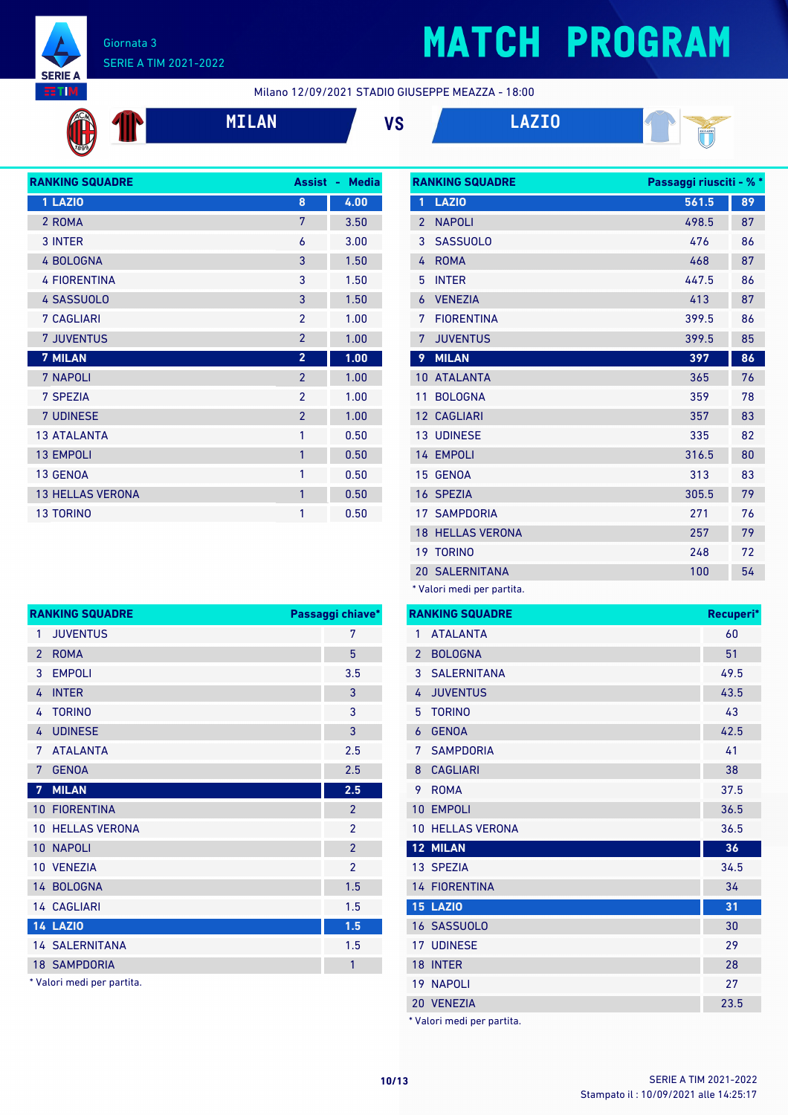

# **MATCH PROGRAM**

**RANKING SQUADRE Passaggi riusciti - % \***

Milano 12/09/2021 STADIO GIUSEPPE MEAZZA - 18:00









| <b>RANKING SQUADRE</b>  |                          | <b>Assist - Media</b> |
|-------------------------|--------------------------|-----------------------|
| 1 LAZIO                 | 8                        | 4.00                  |
| 2 ROMA                  | 7                        | 3.50                  |
| 3 INTER                 | 6                        | 3.00                  |
| 4 BOLOGNA               | 3                        | 1.50                  |
| <b>4 FIORENTINA</b>     | 3                        | 1.50                  |
| 4 SASSUOLO              | 3                        | 1.50                  |
| <b>7 CAGLIARI</b>       | $\mathfrak{p}$           | 1.00                  |
| <b>7 JUVENTUS</b>       | $\overline{2}$           | 1.00                  |
| <b>7 MILAN</b>          | $\overline{2}$           | 1.00                  |
| 7 NAPOLI                | $\overline{2}$           | 1.00                  |
| 7 SPEZIA                | $\mathfrak{p}$           | 1.00                  |
| 7 UDINESE               | $\overline{\phantom{a}}$ | 1.00                  |
| <b>13 ATALANTA</b>      | 1                        | 0.50                  |
| <b>13 EMPOLI</b>        | $\mathbf{1}$             | 0.50                  |
| 13 GENOA                | 1                        | 0.50                  |
| <b>13 HELLAS VERONA</b> | $\mathbf{1}$             | 0.50                  |
| <b>13 TORINO</b>        | 1                        | 0.50                  |

| 1               | <b>LAZIO</b>                        | 561.5 | 89 |
|-----------------|-------------------------------------|-------|----|
| $\overline{2}$  | <b>NAPOLI</b>                       | 498.5 | 87 |
| 3               | <b>SASSUOLO</b>                     | 476   | 86 |
| 4               | <b>ROMA</b>                         | 468   | 87 |
| 5               | <b>INTER</b>                        | 447.5 | 86 |
| 6               | <b>VENEZIA</b>                      | 413   | 87 |
| 7               | <b>FIORFNTINA</b>                   | 399.5 | 86 |
| 7               | <b>JUVENTUS</b>                     | 399.5 | 85 |
| 9               | <b>MILAN</b>                        | 397   | 86 |
| 10 <sup>°</sup> | <b>ATALANTA</b>                     | 365   | 76 |
| 11              | <b>BOLOGNA</b>                      | 359   | 78 |
|                 | 12 CAGLIARI                         | 357   | 83 |
|                 | <b>13 UDINESE</b>                   | 335   | 82 |
|                 | 14 EMPOLI                           | 316.5 | 80 |
| 15              | <b>GENOA</b>                        | 313   | 83 |
|                 | 16 SPEZIA                           | 305.5 | 79 |
|                 | <b>17 SAMPDORIA</b>                 | 271   | 76 |
|                 | <b>18 HELLAS VERONA</b>             | 257   | 79 |
|                 | 19 TORINO                           | 248   | 72 |
|                 | <b>20 SALERNITANA</b>               | 100   | 54 |
|                 | $*$ <i>Malari maadi nan nastita</i> |       |    |

Valori medi per partita.

|                 | <b>RANKING SQUADRE</b>     | Recuperi* |
|-----------------|----------------------------|-----------|
| 1               | <b>ATALANTA</b>            | 60        |
| $\overline{2}$  | <b>BOLOGNA</b>             | 51        |
| 3               | <b>SALERNITANA</b>         | 49.5      |
| 4               | <b>JUVENTUS</b>            | 43.5      |
| 5               | <b>TORINO</b>              | 43        |
| 6               | <b>GENOA</b>               | 42.5      |
| 7               | <b>SAMPDORIA</b>           | 41        |
| 8               | <b>CAGLIARI</b>            | 38        |
| 9               | <b>ROMA</b>                | 37.5      |
| 10              | <b>EMPOLI</b>              | 36.5      |
| 10              | <b>HELLAS VERONA</b>       | 36.5      |
| 12 <sup>7</sup> | <b>MILAN</b>               | 36        |
|                 | 13 SPEZIA                  | 34.5      |
|                 | <b>14 FIORENTINA</b>       | 34        |
|                 | <b>15 LAZIO</b>            | 31        |
|                 | 16 SASSUOLO                | 30        |
| 17 <sup>1</sup> | <b>UDINESE</b>             | 29        |
| 18              | <b>INTER</b>               | 28        |
| 19              | <b>NAPOLI</b>              | 27        |
|                 | 20 VENEZIA                 | 23.5      |
|                 | * Valori medi per partita. |           |

 JUVENTUS 7 ROMA 5 EMPOLI 3.5 4 INTER 3 TORINO 3 4 UDINESE 3 ATALANTA 2.5 GENOA 2.5 **MILAN 2.5** FIORENTINA 2 HELLAS VERONA 2 NAPOLI 2 VENEZIA 2 14 BOLOGNA 1.5 14 CAGLIARI 1.5 **LAZIO 1.5** SALERNITANA 1.5 **18 SAMPDORIA 18 SAMPLORIA 1** 

**RANKING SQUADRE Passaggi chiave\***

\* Valori medi per partita.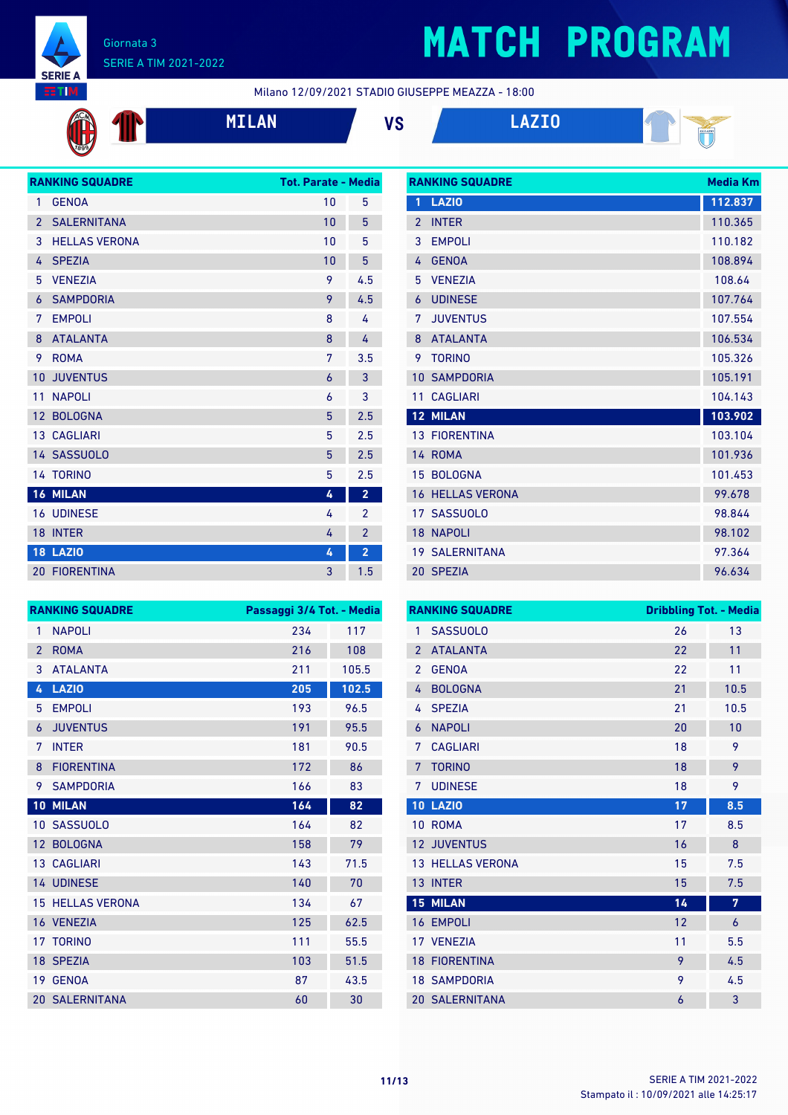

 $\mathbf T$ 

## **MATCH PROGRAM**

Milano 12/09/2021 STADIO GIUSEPPE MEAZZA - 18:00



**MILAN VS LAZIO**

**RANKING SQUADRE Media Km**



|                 | <b>RANKING SQUADRE</b> | <b>Tot. Parate - Media</b> |                |
|-----------------|------------------------|----------------------------|----------------|
| 1               | <b>GENOA</b>           | 10                         | 5              |
| $\overline{2}$  | <b>SALERNITANA</b>     | 10                         | 5              |
| 3               | <b>HELLAS VERONA</b>   | 10                         | 5              |
| 4               | <b>SPEZIA</b>          | 10                         | 5              |
| 5               | <b>VENEZIA</b>         | 9                          | 4.5            |
| 6               | <b>SAMPDORIA</b>       | 9                          | 4.5            |
| 7               | <b>EMPOLI</b>          | 8                          | 4              |
| 8               | <b>ATALANTA</b>        | 8                          | 4              |
| 9               | <b>ROMA</b>            | 7                          | 3.5            |
| 10              | <b>JUVENTUS</b>        | 6                          | 3              |
| 11              | <b>NAPOLI</b>          | 6                          | 3              |
| 12 <sup>2</sup> | <b>BOLOGNA</b>         | 5                          | 2.5            |
|                 | 13 CAGLIARI            | 5                          | 2.5            |
|                 | 14 SASSUOLO            | 5                          | 2.5            |
|                 | 14 TORINO              | 5                          | 2.5            |
|                 | 16 MILAN               | 4                          | $\overline{2}$ |
|                 | <b>16 UDINESE</b>      | 4                          | $\overline{2}$ |
|                 | 18 INTER               | 4                          | $\overline{2}$ |
|                 | <b>18 LAZIO</b>        | 4                          | $\overline{2}$ |
|                 | <b>20 FIORENTINA</b>   | 3                          | 1.5            |

|                | IVAINNINY JYYYAYINL   | <u>Mcala Mill</u> |
|----------------|-----------------------|-------------------|
| 1              | <b>LAZIO</b>          | 112.837           |
| $\mathfrak{p}$ | <b>INTER</b>          | 110.365           |
| 3              | <b>EMPOLI</b>         | 110.182           |
| 4              | <b>GENOA</b>          | 108.894           |
| 5              | <b>VFNF7IA</b>        | 108.64            |
| 6              | <b>UDINESE</b>        | 107.764           |
| 7              | <b>JUVENTUS</b>       | 107.554           |
| 8              | <b>ATALANTA</b>       | 106.534           |
| 9              | <b>TORINO</b>         | 105.326           |
| 10             | <b>SAMPDORIA</b>      | 105.191           |
| 11             | <b>CAGLIARI</b>       | 104.143           |
|                | <b>12 MILAN</b>       | 103.902           |
|                | <b>13 FIORENTINA</b>  | 103.104           |
|                | 14 ROMA               | 101.936           |
|                | 15 BOLOGNA            | 101.453           |
| 16             | <b>HELLAS VERONA</b>  | 99.678            |
|                | 17 SASSUOLO           | 98.844            |
| 18             | <b>NAPOLI</b>         | 98.102            |
|                | <b>19 SALERNITANA</b> | 97.364            |
|                | 20 SPEZIA             | 96.634            |

|                   | <b>RANKING SQUADRE</b> | Passaggi 3/4 Tot. - Media |       |
|-------------------|------------------------|---------------------------|-------|
| 1                 | <b>NAPOLI</b>          | 234                       | 117   |
| $\overline{2}$    | <b>ROMA</b>            | 216                       | 108   |
| 3                 | <b>ATALANTA</b>        | 211                       | 105.5 |
| 4                 | <b>LAZIO</b>           | 205                       | 102.5 |
| 5                 | <b>EMPOLI</b>          | 193                       | 96.5  |
| 6                 | <b>JUVENTUS</b>        | 191                       | 95.5  |
| 7                 | <b>INTER</b>           | 181                       | 90.5  |
| 8                 | <b>FIORENTINA</b>      | 172                       | 86    |
| 9                 | <b>SAMPDORIA</b>       | 166                       | 83    |
| 10                | <b>MILAN</b>           | 164                       | 82    |
| 10                | <b>SASSUOLO</b>        | 164                       | 82    |
| $12 \overline{ }$ | <b>BOLOGNA</b>         | 158                       | 79    |
|                   | <b>13 CAGLIARI</b>     | 143                       | 71.5  |
|                   | 14 UDINESE             | 140                       | 70    |
| 15                | <b>HELLAS VERONA</b>   | 134                       | 67    |
|                   | 16 VENEZIA             | 125                       | 62.5  |
|                   | 17 TORINO              | 111                       | 55.5  |
|                   | 18 SPEZIA              | 103                       | 51.5  |
| 19                | <b>GENOA</b>           | 87                        | 43.5  |
|                   | <b>20 SALERNITANA</b>  | 60                        | 30    |

|                 | <b>RANKING SQUADRE</b>  | <b>Dribbling Tot. - Media</b> |      |
|-----------------|-------------------------|-------------------------------|------|
| 1               | <b>SASSUOLO</b>         | 26                            | 13   |
| $\overline{2}$  | <b>ATALANTA</b>         | 22                            | 11   |
| $\overline{2}$  | <b>GENOA</b>            | 22                            | 11   |
| $\overline{4}$  | <b>BOLOGNA</b>          | 21                            | 10.5 |
| 4               | <b>SPEZIA</b>           | 21                            | 10.5 |
| 6               | <b>NAPOLI</b>           | 20                            | 10   |
| 7               | <b>CAGLIARI</b>         | 18                            | 9    |
| 7               | <b>TORINO</b>           | 18                            | 9    |
| 7               | <b>UDINESE</b>          | 18                            | 9    |
|                 | <b>10 LAZIO</b>         | 17                            | 8.5  |
| 10 <sup>°</sup> | <b>ROMA</b>             | 17                            | 8.5  |
|                 | <b>12 JUVENTUS</b>      | 16                            | 8    |
|                 | <b>13 HELLAS VERONA</b> | 15                            | 7.5  |
|                 | 13 INTER                | 15                            | 7.5  |
|                 | <b>15 MILAN</b>         | 14                            | 7    |
|                 | 16 EMPOLI               | 12                            | 6    |
|                 | 17 VENEZIA              | 11                            | 5.5  |
|                 | <b>18 FIORENTINA</b>    | 9                             | 4.5  |
|                 | <b>18 SAMPDORIA</b>     | 9                             | 4.5  |
|                 | <b>20 SALERNITANA</b>   | 6                             | 3    |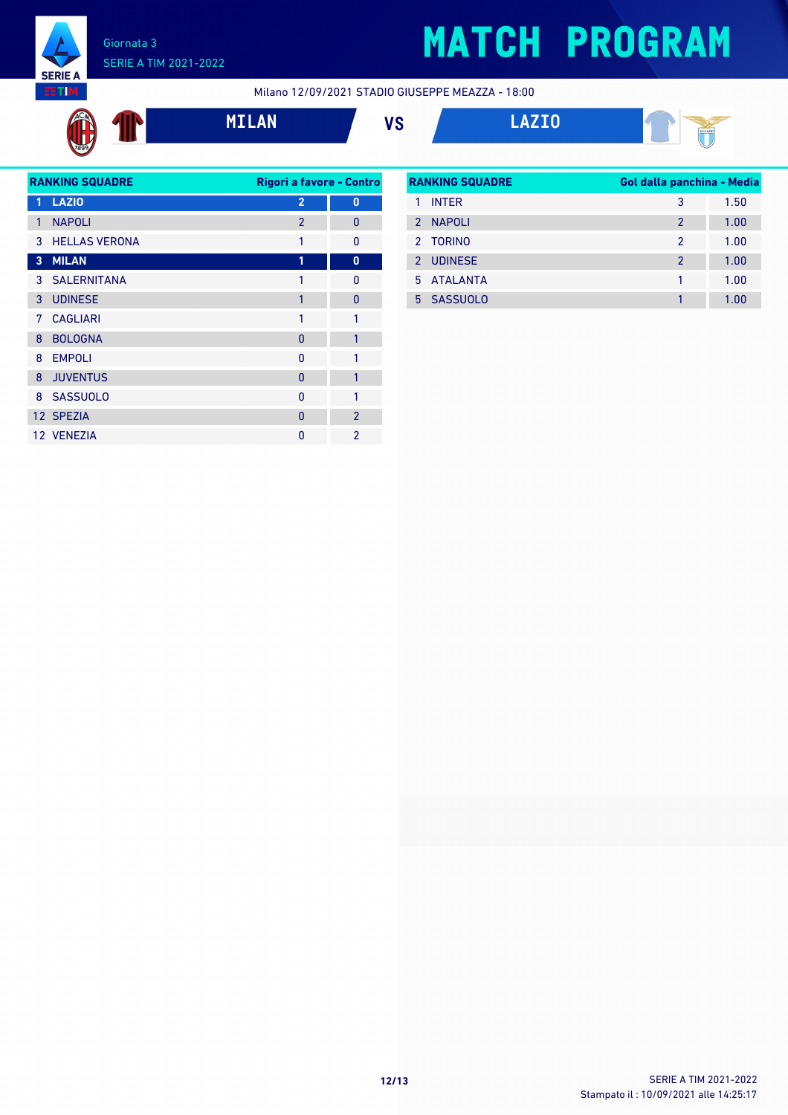

## **MATCH PROGRAM**

Milano 12/09/2021 STADIO GIUSEPPE MEAZZA - 18:00

$$
\bigoplus_{i=1}^n\mathbb{C}^n
$$

**MILAN VS LAZIO**



|   | <b>RANKING SQUADRE</b> | Rigori a favore - Contro |                |
|---|------------------------|--------------------------|----------------|
| 1 | <b>LAZIO</b>           | $\overline{2}$           | $\bf{0}$       |
| 1 | <b>NAPOLI</b>          | $\mathfrak{p}$           | $\mathbf{0}$   |
| 3 | <b>HELLAS VERONA</b>   | 1                        | $\Omega$       |
| 3 | <b>MILAN</b>           | 1                        | 0              |
|   | 3 SALERNITANA          | 1                        | 0              |
| 3 | <b>UDINESE</b>         | 1                        | $\overline{0}$ |
| 7 | <b>CAGLIARI</b>        | 1                        | 1              |
| 8 | <b>BOLOGNA</b>         | 0                        | 1              |
| 8 | <b>EMPOLI</b>          | 0                        | 1              |
| 8 | <b>JUVENTUS</b>        | $\Omega$                 | 1              |
| 8 | <b>SASSUOLO</b>        | 0                        | 1              |
|   | 12 SPEZIA              | $\Omega$                 | $\overline{2}$ |
|   | 12 VENEZIA             | O                        | $\mathfrak{p}$ |

| <b>RANKING SQUADRE</b> |                |                | Gol dalla panchina - Media |  |
|------------------------|----------------|----------------|----------------------------|--|
|                        | <b>INTER</b>   | 3              | 1.50                       |  |
| $\mathcal{P}$          | <b>NAPOLI</b>  | $\mathcal{P}$  | 1.00                       |  |
|                        | 2 TORINO       | 2              | 1.00                       |  |
| 2                      | <b>UDINESE</b> | $\mathfrak{p}$ | 1.00                       |  |
|                        | 5 ATAI ANTA    | 1              | 1.00                       |  |
|                        | 5 SASSUOLO     |                | 1.00                       |  |